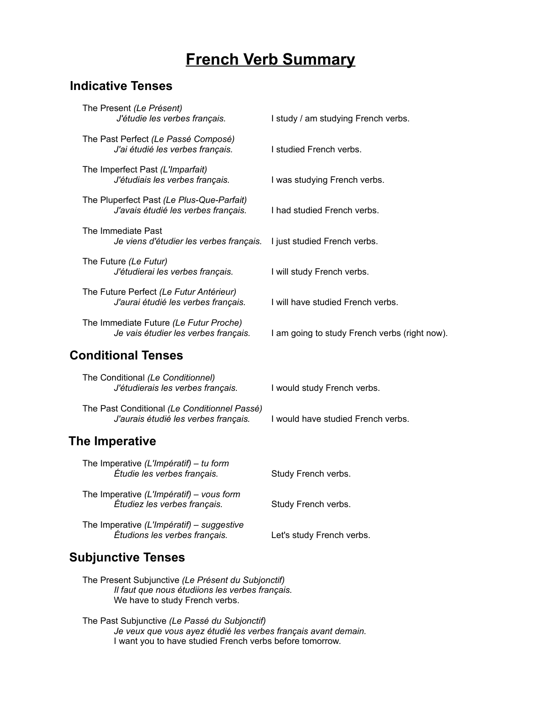# **French Verb Summary**

# **Indicative Tenses**

| The Present (Le Présent)<br>J'étudie les verbes français.                            | I study / am studying French verbs.           |
|--------------------------------------------------------------------------------------|-----------------------------------------------|
| The Past Perfect (Le Passé Composé)<br>J'ai étudié les verbes français.              | I studied French verbs.                       |
| The Imperfect Past (L'Imparfait)<br>J'étudiais les verbes français.                  | I was studying French verbs.                  |
| The Pluperfect Past (Le Plus-Que-Parfait)<br>J'avais étudié les verbes français.     | I had studied French verbs.                   |
| The Immediate Past<br>Je viens d'étudier les verbes français.                        | I just studied French verbs.                  |
| The Future (Le Futur)<br>J'étudierai les verbes français.                            | I will study French verbs.                    |
| The Future Perfect (Le Futur Antérieur)<br>J'aurai étudié les verbes français.       | I will have studied French verbs.             |
| The Immediate Future (Le Futur Proche)<br>Je vais étudier les verbes français.       | I am going to study French verbs (right now). |
| <b>Conditional Tenses</b>                                                            |                                               |
| The Conditional (Le Conditionnel)<br>J'étudierais les verbes français.               | I would study French verbs.                   |
| The Past Conditional (Le Conditionnel Passé)<br>J'aurais étudié les verbes français. | I would have studied French verbs.            |

# **The Imperative**

| The Imperative (L'Impératif) – tu form<br>Étudie les verbes français.      | Study French verbs.       |
|----------------------------------------------------------------------------|---------------------------|
| The Imperative (L'Impératif) – vous form<br>Étudiez les verbes français.   | Study French verbs.       |
| The Imperative (L'Impératif) – suggestive<br>Étudions les verbes français. | Let's study French verbs. |

# **Subjunctive Tenses**

- The Present Subjunctive *(Le Présent du Subjonctif) Il faut que nous étudiions les verbes français.* We have to study French verbs.
- The Past Subjunctive *(Le Passé du Subjonctif) Je veux que vous ayez étudié les verbes français avant demain.* I want you to have studied French verbs before tomorrow.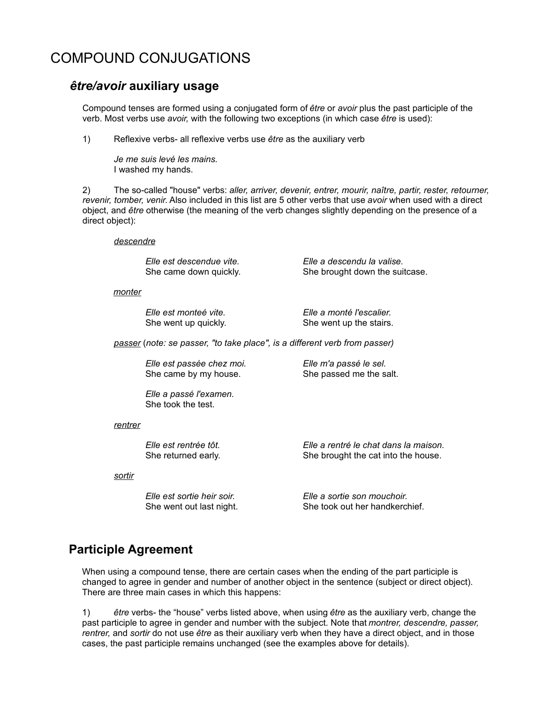# COMPOUND CONJUGATIONS

## *être/avoir* **auxiliary usage**

Compound tenses are formed using a conjugated form of *être* or *avoir* plus the past participle of the verb. Most verbs use *avoir,* with the following two exceptions (in which case *être* is used):

1) Reflexive verbs- all reflexive verbs use *être* as the auxiliary verb

*Je me suis levé les mains.* I washed my hands.

2) The so-called "house" verbs: *aller, arriver, devenir, entrer, mourir, naître, partir, rester, retourner, revenir, tomber, venir.* Also included in this list are 5 other verbs that use *avoir* when used with a direct object, and *être* otherwise (the meaning of the verb changes slightly depending on the presence of a direct object):

### *descendre*

*Elle est descendue vite. Elle a descendu la valise.*

She came down quickly. She brought down the suitcase.

### *monter*

*Elle est monteé vite. Elle a monté l'escalier.* She went up quickly. She went up the stairs.

*passer* (*note: se passer, "to take place", is a different verb from passer)* 

*Elle est passée chez moi. Elle m'a passé le sel.* She came by my house. She passed me the salt.

*Elle a passé l'examen.*  She took the test.

### *rentrer*

*Elle est rentrée tôt. Elle a rentré le chat dans la maison.* She returned early. She brought the cat into the house.

*sortir*

*Elle est sortie heir soir. Elle a sortie son mouchoir.* She went out last night. She took out her handkerchief.

# **Participle Agreement**

When using a compound tense, there are certain cases when the ending of the part participle is changed to agree in gender and number of another object in the sentence (subject or direct object). There are three main cases in which this happens:

1) *être* verbs- the "house" verbs listed above, when using *être* as the auxiliary verb, change the past participle to agree in gender and number with the subject. Note that *montrer, descendre, passer, rentrer,* and *sortir* do not use *être* as their auxiliary verb when they have a direct object, and in those cases, the past participle remains unchanged (see the examples above for details).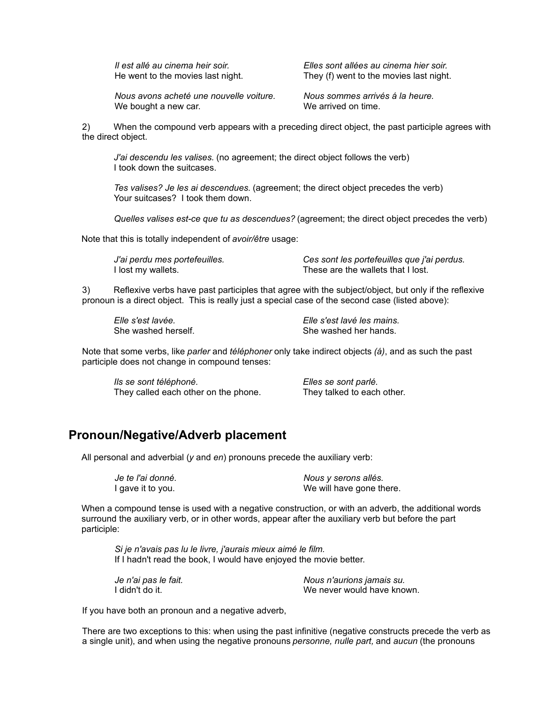*Il est allé au cinema heir soir. Elles sont allées au cinema hier soir.* They (f) went to the movies last night.

*Nous avons acheté une nouvelle voiture. Nous sommes arrivés á la heure.*  We bought a new car. The same we arrived on time.

2) When the compound verb appears with a preceding direct object, the past participle agrees with the direct object.

*J'ai descendu les valises.* (no agreement; the direct object follows the verb) I took down the suitcases.

*Tes valises? Je les ai descendues.* (agreement; the direct object precedes the verb) Your suitcases? I took them down.

*Quelles valises est-ce que tu as descendues?* (agreement; the direct object precedes the verb)

Note that this is totally independent of *avoir/être* usage:

*J'ai perdu mes portefeuilles. Ces sont les portefeuilles que j'ai perdus.*  I lost my wallets. These are the wallets that I lost.

3) Reflexive verbs have past participles that agree with the subject/object, but only if the reflexive pronoun is a direct object. This is really just a special case of the second case (listed above):

*Elle s'est lavée. Elle s'est lavé les mains.*  She washed herself. She washed her hands.

Note that some verbs, like *parler* and *téléphoner* only take indirect objects *(á)*, and as such the past participle does not change in compound tenses:

*Ils se sont téléphoné. Elles se sont parlé.* They called each other on the phone. They talked to each other.

# **Pronoun/Negative/Adverb placement**

All personal and adverbial (*y* and *en*) pronouns precede the auxiliary verb:

*Je te l'ai donné. Nous y serons allés.* I gave it to you. The same state of the We will have gone there.

When a compound tense is used with a negative construction, or with an adverb, the additional words surround the auxiliary verb, or in other words, appear after the auxiliary verb but before the part participle:

*Si je n'avais pas lu le livre, j'aurais mieux aimé le film.*  If I hadn't read the book, I would have enjoyed the movie better.

*Je n'ai pas le fait. Nous n'aurions jamais su.* I didn't do it. The same state of the second we never would have known.

If you have both an pronoun and a negative adverb,

There are two exceptions to this: when using the past infinitive (negative constructs precede the verb as a single unit), and when using the negative pronouns *personne, nulle part,* and *aucun* (the pronouns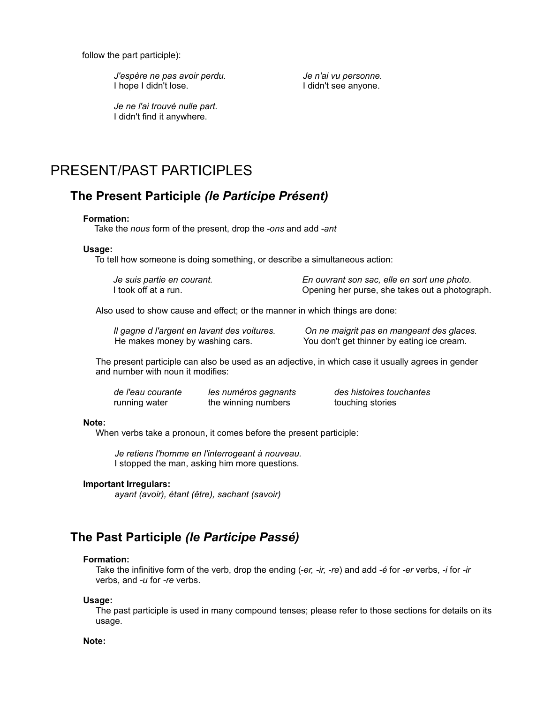follow the part participle):

*J'espère ne pas avoir perdu. Je n'ai vu personne.* I hope I didn't lose. I didn't see anyone.

*Je ne l'ai trouvé nulle part.* I didn't find it anywhere.

# PRESENT/PAST PARTICIPLES

# **The Present Participle** *(le Participe Présent)*

### **Formation:**

Take the *nous* form of the present, drop the *-ons* and add *-ant*

### **Usage:**

To tell how someone is doing something, or describe a simultaneous action:

| Je suis partie en courant. | En ouvrant son sac, elle en sort une photo.    |
|----------------------------|------------------------------------------------|
| I took off at a run.       | Opening her purse, she takes out a photograph. |

Also used to show cause and effect; or the manner in which things are done:

|                                 | Il gagne d l'argent en lavant des voitures. |
|---------------------------------|---------------------------------------------|
| He makes money by washing cars. |                                             |

*On ne maigrit pas en mangeant des glaces.* You don't get thinner by eating ice cream.

The present participle can also be used as an adjective, in which case it usually agrees in gender and number with noun it modifies:

*de l'eau courante les numéros gagnants des histoires touchantes* running water the winning numbers touching stories

### **Note:**

When verbs take a pronoun, it comes before the present participle:

*Je retiens l'homme en l'interrogeant à nouveau.* I stopped the man, asking him more questions.

### **Important Irregulars:**

*ayant (avoir), étant (être), sachant (savoir)*

# **The Past Participle** *(le Participe Passé)*

### **Formation:**

Take the infinitive form of the verb, drop the ending (*-er, -ir, -re*) and add *-é* for *-er* verbs, *-i* for *-ir* verbs, and *-u* for *-re* verbs.

### **Usage:**

The past participle is used in many compound tenses; please refer to those sections for details on its usage.

### **Note:**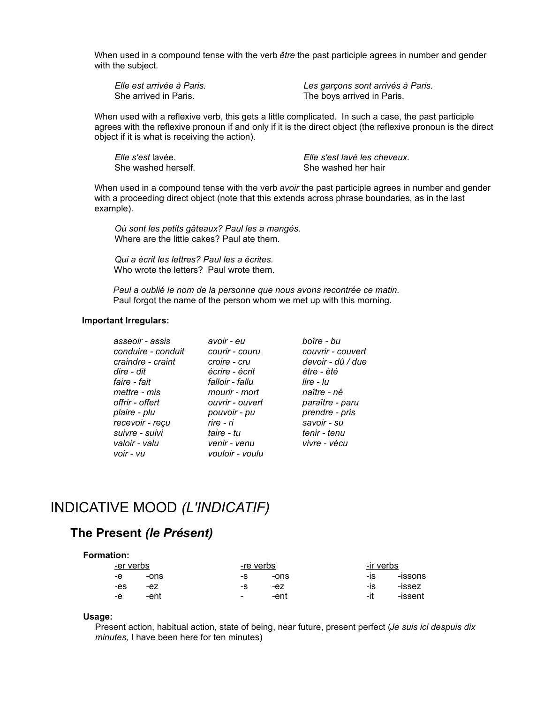When used in a compound tense with the verb *être* the past participle agrees in number and gender with the subject.

| Elle est arrivée à Paris. | Les garçons sont arrivés à Paris. |
|---------------------------|-----------------------------------|
| She arrived in Paris.     | The boys arrived in Paris.        |

When used with a reflexive verb, this gets a little complicated. In such a case, the past participle agrees with the reflexive pronoun if and only if it is the direct object (the reflexive pronoun is the direct object if it is what is receiving the action).

*Elle s'est* lavée. *Elle s'est lavé les cheveux.* She washed herself. She washed her hair

When used in a compound tense with the verb *avoir* the past participle agrees in number and gender with a proceeding direct object (note that this extends across phrase boundaries, as in the last example).

*Où sont les petits gâteaux? Paul les a mangés.*  Where are the little cakes? Paul ate them.

*Qui a écrit les lettres? Paul les a écrites.* Who wrote the letters? Paul wrote them.

*Paul a oublié le nom de la personne que nous avons recontrée ce matin.* Paul forgot the name of the person whom we met up with this morning.

### **Important Irregulars:**

| asseoir - assis    | avoir - eu      | boîre - bu        |
|--------------------|-----------------|-------------------|
| conduire - conduit | courir - couru  | couvrir - couvert |
| craindre - craint  | croire - cru    | devoir - dû / due |
| dire - dit         | écrire - écrit  | être - été        |
| faire - fait       | falloir - fallu | $line - Iu$       |
| mettre - mis       | mourir - mort   | naître - né       |
| offrir - offert    | ouvrir - ouvert | paraître - paru   |
| plaire - plu       | pouvoir - pu    | prendre - pris    |
| recevoir - reçu    | rire - ri       | savoir - su       |
| suivre - suivi     | taire - tu      | tenir - tenu      |
| valoir - valu      | venir - venu    | vivre - vécu      |
| voir - vu          | vouloir - voulu |                   |
|                    |                 |                   |

# INDICATIVE MOOD *(L'INDICATIF)*

## **The Present** *(le Présent)*

| <b>Formation:</b> |      |                          |      |           |         |
|-------------------|------|--------------------------|------|-----------|---------|
| -er verbs         |      | -re verbs                |      | -ir verbs |         |
| -е                | -ons | -S                       | -ons | -IS       | -issons |
| -es               | -ez  | -S                       | -ez  | -IS       | -issez  |
| -е                | -ent | $\overline{\phantom{0}}$ | -ent | -it       | -issent |

### **Usage:**

Present action, habitual action, state of being, near future, present perfect (*Je suis ici despuis dix minutes,* I have been here for ten minutes)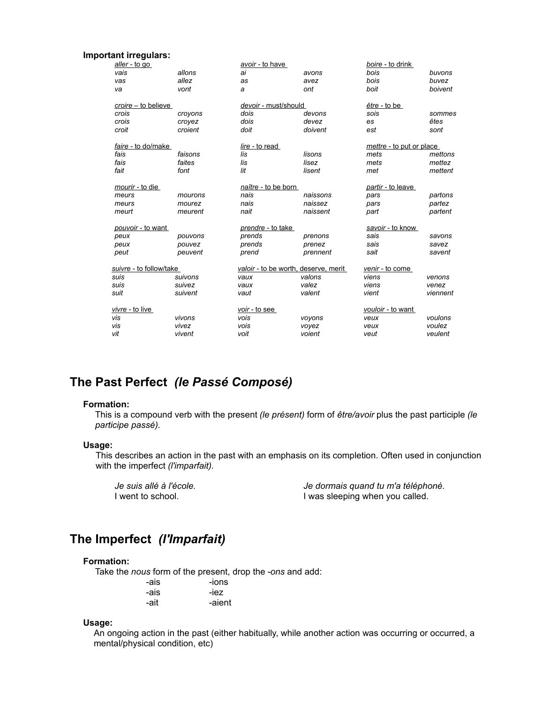### **Important irregulars:**

| aller - to go           |         | avoir - to have          |                                      | boire - to drink         |          |
|-------------------------|---------|--------------------------|--------------------------------------|--------------------------|----------|
| vais                    | allons  | ai                       | avons                                | bois                     | buvons   |
| vas                     | allez   | as                       | avez                                 | bois                     | buvez    |
| va                      | vont    | а                        | ont                                  | boit                     | boivent  |
| croire – to believe     |         | devoir - must/should     |                                      | <i>être</i> - to be      |          |
| crois                   | croyons | dois                     | devons                               | sois                     | sommes   |
| crois                   | croyez  | dois                     | devez                                | es                       | êtes     |
| croit                   | croient | doit                     | doivent                              | est                      | sont     |
| faire - to do/make      |         | lire - to read           |                                      | mettre - to put or place |          |
| fais                    | faisons | lis                      | lisons                               | mets                     | mettons  |
| fais                    | faites  | lis                      | lisez                                | mets                     | mettez   |
| fait                    | font    | lit                      | lisent                               | met                      | mettent  |
| mourir - to die         |         | naître - to be born      |                                      | partir - to leave        |          |
| meurs                   | mourons | nais                     | naissons                             | pars                     | partons  |
| meurs                   | mourez  | nais                     | naissez                              | pars                     | partez   |
| meurt                   | meurent | nait                     | naissent                             | part                     | partent  |
| pouvoir - to want       |         | <i>prendre - to take</i> |                                      | savoir - to know         |          |
| peux                    | pouvons | prends                   | prenons                              | sais                     | savons   |
| peux                    | pouvez  | prends                   | prenez                               | sais                     | savez    |
| peut                    | peuvent | prend                    | prennent                             | sait                     | savent   |
| suivre - to follow/take |         |                          | valoir - to be worth, deserve, merit | venir - to come          |          |
| suis                    | suivons | vaux                     | valons                               | viens                    | venons   |
| suis                    | suivez  | vaux                     | valez                                | viens                    | venez    |
| suit                    | suivent | vaut                     | valent                               | vient                    | viennent |
| vivre - to live         |         | voir - to see            |                                      | vouloir - to want        |          |
| vis                     | vivons  | vois                     | voyons                               | veux                     | voulons  |
| vis                     | vivez   | vois                     | voyez                                | veux                     | voulez   |
| vit                     | vivent  | voit                     | voient                               | veut                     | veulent  |

# **The Past Perfect** *(le Passé Composé)*

### **Formation:**

This is a compound verb with the present *(le présent)* form of *être/avoir* plus the past participle *(le participe passé).*

### **Usage:**

This describes an action in the past with an emphasis on its completion. Often used in conjunction with the imperfect *(l'imparfait).*

*Je suis allé à l'école.*  $\overline{a}$  *Je dormais quand tu m'a téléphoné.*<br>I went to school.  $\overline{a}$  *J* was sleeping when you called. I was sleeping when you called.

# **The Imperfect** *(l'Imparfait)*

## **Formation:**

Take the *nous* form of the present, drop the *-ons* and add:

| -ais | -ions  |
|------|--------|
| -ais | -iez-  |
| -ait | -aient |

### **Usage:**

An ongoing action in the past (either habitually, while another action was occurring or occurred, a mental/physical condition, etc)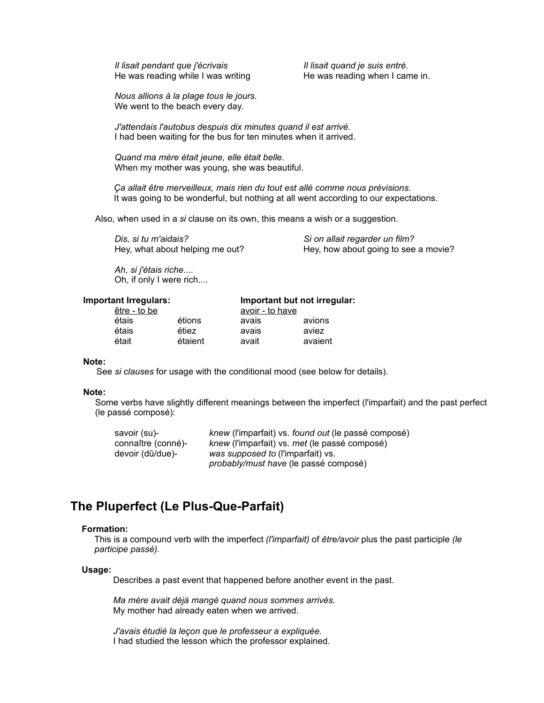*Il lisait pendant que j'écrivais* **Il lisait quand je suis entré.** He was reading while I was writing He was reading when I came in.

*Nous allions à la plage tous le jours.*  We went to the beach every day.

*J'attendais l'autobus despuis dix minutes quand il est arrivé.* I had been waiting for the bus for ten minutes when it arrived.

*Quand ma mère était jeune, elle était belle.*  When my mother was young, she was beautiful.

*Ça allait être merveilleux, mais rien du tout est allé comme nous prévisions.*  It was going to be wonderful, but nothing at all went according to our expectations.

Also, when used in a *si* clause on its own, this means a wish or a suggestion.

*Dis, si tu m'aidais? Si on allait regarder un film?*

Hey, what about helping me out? Hey, how about going to see a movie?

*Ah, si j'étais riche....* Oh, if only I were rich....

### **Important Irregulars: Important but not irregular:**

| être - to be |         | avoir - to have |         |
|--------------|---------|-----------------|---------|
| étais        | étions  | avais           | avions  |
| étais        | étiez   | avais           | aviez   |
| était        | étaient | avait           | avaient |

#### **Note:**

See *si clauses* for usage with the conditional mood (see below for details).

#### **Note:**

Some verbs have slightly different meanings between the imperfect (l'imparfait) and the past perfect (le passé composé):

| savoir (su)-       | knew (l'imparfait) vs. found out (le passé composé) |
|--------------------|-----------------------------------------------------|
| connaître (conné)- | knew (l'imparfait) vs. met (le passé composé)       |
| devoir (dû/due)-   | was supposed to (l'imparfait) vs.                   |
|                    | <i>probably/must have</i> (le passé composé)        |

## **The Pluperfect (Le Plus-Que-Parfait)**

### **Formation:**

This is a compound verb with the imperfect *(l'imparfait)* of *être/avoir* plus the past participle *(le participe passé).*

### **Usage:**

Describes a past event that happened before another event in the past.

*Ma mère avait déjà mangé quand nous sommes arrivés.* My mother had already eaten when we arrived.

*J'avais étudié la leçon que le professeur a expliquée.* I had studied the lesson which the professor explained.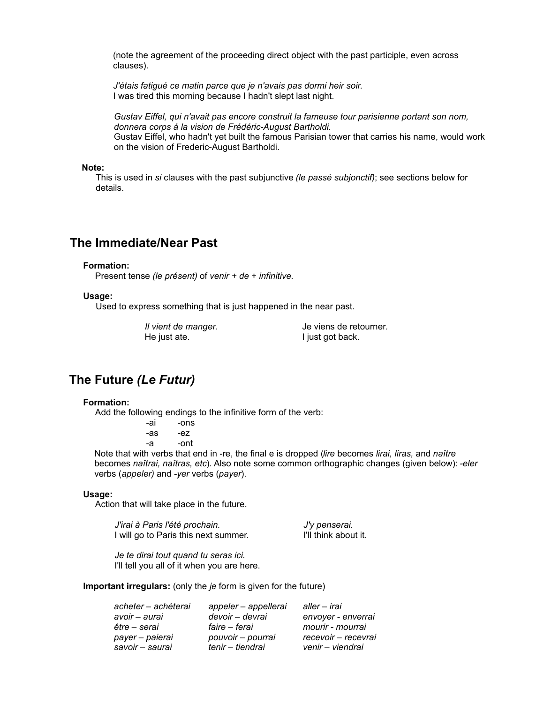(note the agreement of the proceeding direct object with the past participle, even across clauses).

*J'étais fatigué ce matin parce que je n'avais pas dormi heir soir.*  I was tired this morning because I hadn't slept last night.

*Gustav Eiffel, qui n'avait pas encore construit la fameuse tour parisienne portant son nom, donnera corps á la vision de Frédéric-August Bartholdi.* Gustav Eiffel, who hadn't yet built the famous Parisian tower that carries his name, would work on the vision of Frederic-August Bartholdi.

### **Note:**

This is used in *si* clauses with the past subjunctive *(le passé subjonctif)*; see sections below for details.

## **The Immediate/Near Past**

#### **Formation:**

Present tense *(le présent)* of *venir + de* + *infinitive.*

#### **Usage:**

Used to express something that is just happened in the near past.

He just ate. I just got back.

*Il vient de manger.* Je viens de retourner*.*

## **The Future** *(Le Futur)*

### **Formation:**

Add the following endings to the infinitive form of the verb:

| -ai | -ons |
|-----|------|
| -as | -ez  |
|     |      |

-a -ont

Note that with verbs that end in -re, the final e is dropped (*lire* becomes *lirai, liras,* and *naître* becomes *naîtrai, naîtras, etc*). Also note some common orthographic changes (given below): *-eler* verbs (*appeler)* and *-yer* verbs (*payer*).

#### **Usage:**

Action that will take place in the future.

*J'irai à Paris l'été prochain. J'y penserai.* I will go to Paris this next summer. I'll think about it.

*Je te dirai tout quand tu seras ici.* I'll tell you all of it when you are here.

**Important irregulars:** (only the *je* form is given for the future)

| acheter - achèterai | appeler – appellerai | aller – irai        |
|---------------------|----------------------|---------------------|
| avoir – aurai       | devoir – devrai      | envoyer - enverrai  |
| être – serai        | faire – ferai        | mourir - mourrai    |
| payer - paierai     | pouvoir - pourrai    | recevoir - recevrai |
| savoir - saurai     | tenir – tiendrai     | venir - viendrai    |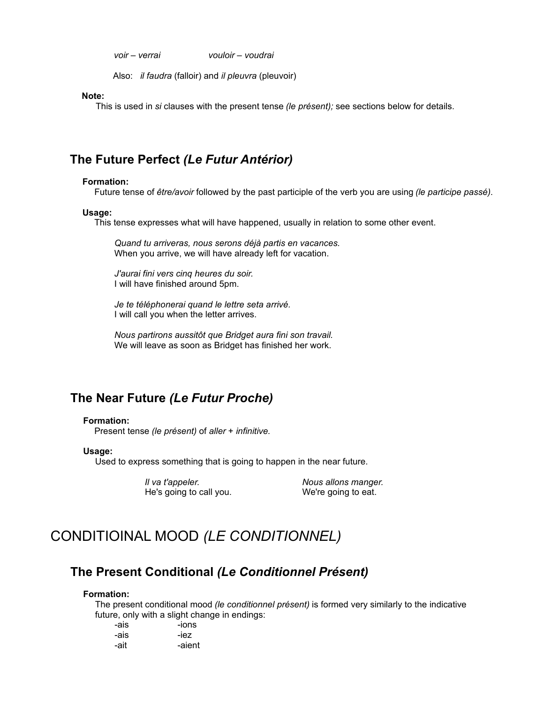*voir – verrai vouloir – voudrai* 

Also: *il faudra* (falloir) and *il pleuvra* (pleuvoir)

**Note:** 

This is used in *si* clauses with the present tense *(le présent);* see sections below for details.

# **The Future Perfect** *(Le Futur Antérior)*

### **Formation:**

Future tense of *être/avoir* followed by the past participle of the verb you are using *(le participe passé)*.

#### **Usage:**

This tense expresses what will have happened, usually in relation to some other event.

*Quand tu arriveras, nous serons déjà partis en vacances.*  When you arrive, we will have already left for vacation.

*J'aurai fini vers cinq heures du soir.*  I will have finished around 5pm.

*Je te téléphonerai quand le lettre seta arrivé.* I will call you when the letter arrives.

*Nous partirons aussitôt que Bridget aura fini son travail.*  We will leave as soon as Bridget has finished her work.

# **The Near Future** *(Le Futur Proche)*

### **Formation:**

Present tense *(le présent)* of *aller* + *infinitive.*

#### **Usage:**

Used to express something that is going to happen in the near future.

*Il va t'appeler. Nous allons manger.* He's going to call you. We're going to eat.

# CONDITIOINAL MOOD *(LE CONDITIONNEL)*

## **The Present Conditional** *(Le Conditionnel Présent)*

### **Formation:**

The present conditional mood *(le conditionnel présent)* is formed very similarly to the indicative future, only with a slight change in endings:

| -ais | -ions  |
|------|--------|
| -ais | -iez   |
| -ait | -aient |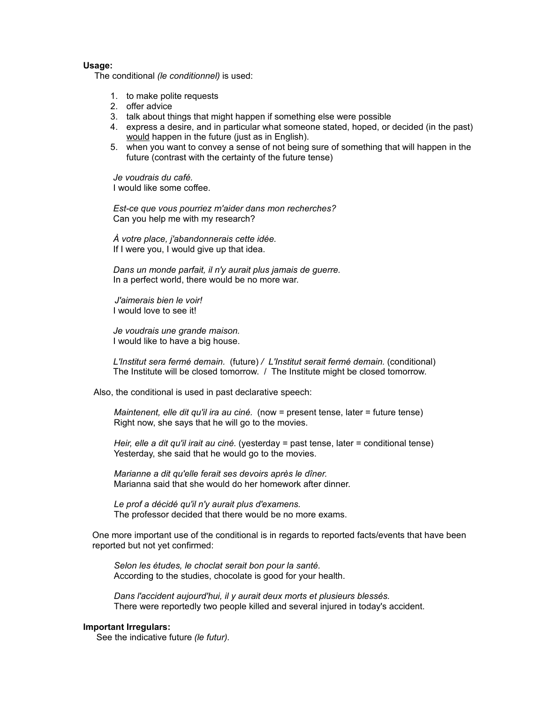### **Usage:**

The conditional *(le conditionnel)* is used:

- 1. to make polite requests
- 2. offer advice
- 3. talk about things that might happen if something else were possible
- 4. express a desire, and in particular what someone stated, hoped, or decided (in the past) would happen in the future (just as in English).
- 5. when you want to convey a sense of not being sure of something that will happen in the future (contrast with the certainty of the future tense)

*Je voudrais du café.* I would like some coffee.

*Est-ce que vous pourriez m'aider dans mon recherches?* Can you help me with my research?

*À votre place, j'abandonnerais cette idée.*  If I were you, I would give up that idea.

*Dans un monde parfait, il n'y aurait plus jamais de guerre.* In a perfect world, there would be no more war.

*J'aimerais bien le voir!*  I would love to see it!

*Je voudrais une grande maison.* I would like to have a big house.

*L'Institut sera fermé demain.* (future) */ L'Institut serait fermé demain.* (conditional) The Institute will be closed tomorrow. / The Institute might be closed tomorrow.

Also, the conditional is used in past declarative speech:

*Maintenent, elle dit qu'il ira au ciné.* (now = present tense, later = future tense) Right now, she says that he will go to the movies.

*Heir, elle a dit qu'il irait au ciné.* (yesterday = past tense, later = conditional tense) Yesterday, she said that he would go to the movies.

*Marianne a dit qu'elle ferait ses devoirs après le dîner.* Marianna said that she would do her homework after dinner.

*Le prof a décidé qu'il n'y aurait plus d'examens.* The professor decided that there would be no more exams.

One more important use of the conditional is in regards to reported facts/events that have been reported but not yet confirmed:

*Selon les études, le choclat serait bon pour la santé.* According to the studies, chocolate is good for your health.

*Dans l'accident aujourd'hui, il y aurait deux morts et plusieurs blessés.* There were reportedly two people killed and several injured in today's accident.

## **Important Irregulars:**

See the indicative future *(le futur).*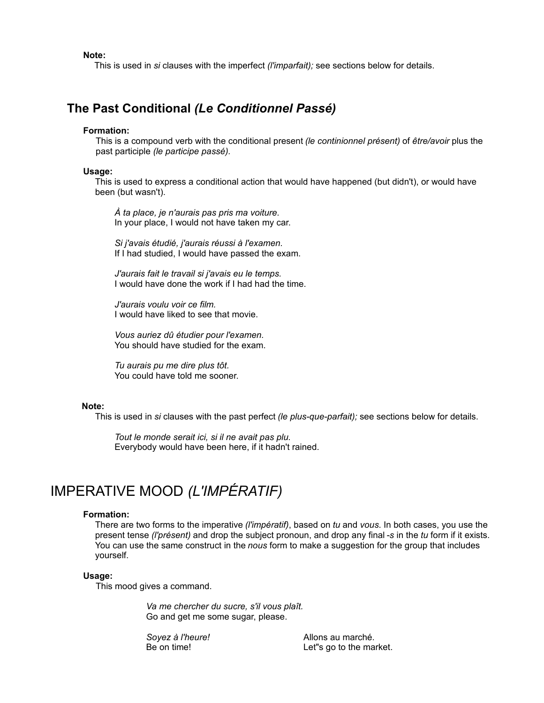**Note:**

This is used in *si* clauses with the imperfect *(l'imparfait);* see sections below for details.

## **The Past Conditional** *(Le Conditionnel Passé)*

## **Formation:**

This is a compound verb with the conditional present *(le continionnel présent)* of *être/avoir* plus the past participle *(le participe passé).*

### **Usage:**

This is used to express a conditional action that would have happened (but didn't), or would have been (but wasn't).

*À ta place, je n'aurais pas pris ma voiture.* In your place, I would not have taken my car.

*Si j'avais étudié, j'aurais réussi à l'examen.*  If I had studied, I would have passed the exam.

*J'aurais fait le travail si j'avais eu le temps.*  I would have done the work if I had had the time.

*J'aurais voulu voir ce film.* I would have liked to see that movie.

*Vous auriez dû étudier pour l'examen.*  You should have studied for the exam.

*Tu aurais pu me dire plus tôt.* You could have told me sooner.

### **Note:**

This is used in *si* clauses with the past perfect *(le plus-que-parfait);* see sections below for details.

*Tout le monde serait ici, si il ne avait pas plu.* Everybody would have been here, if it hadn't rained.

# IMPERATIVE MOOD *(L'IMPÉRATIF)*

### **Formation:**

There are two forms to the imperative *(l'impératif)*, based on *tu* and *vous*. In both cases, you use the present tense *(l'présent)* and drop the subject pronoun, and drop any final *-s* in the *tu* form if it exists. You can use the same construct in the *nous* form to make a suggestion for the group that includes yourself.

#### **Usage:**

This mood gives a command.

*Va me chercher du sucre, s'il vous plaît.* Go and get me some sugar, please.

*Soyez à l'heure!* Allons au marché. Be on time!<br>
Let"s go to the market.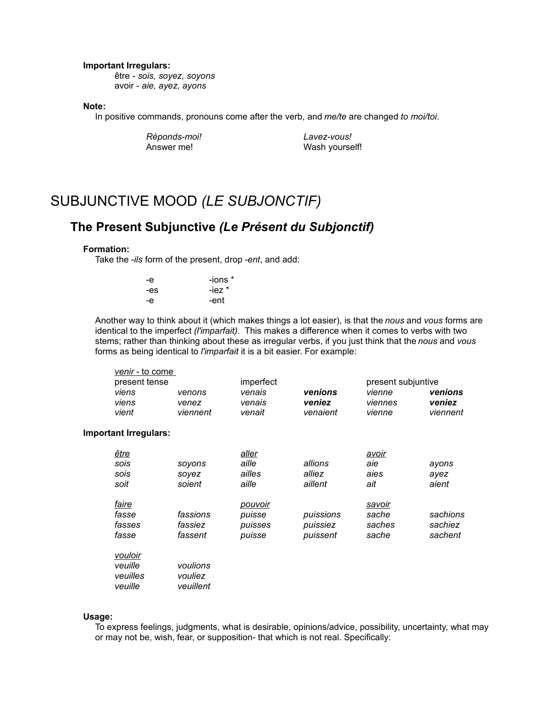### **Important Irregulars:**

être - *sois, soyez, soyons* avoir - *aie, ayez, ayons*

### **Note:**

In positive commands, pronouns come after the verb, and *me/te* are changed *to moi/toi*.

*Réponds-moi! Lavez-vous!* Answer me! Wash yourself!

# SUBJUNCTIVE MOOD *(LE SUBJONCTIF)*

# **The Present Subjunctive** *(Le Présent du Subjonctif)*

## **Formation:**

Take the *-ils* form of the present, drop *-ent*, and add:

| -е  | -ions *  |
|-----|----------|
| -es | $-iez *$ |
| -е  | -ent     |

Another way to think about it (which makes things a lot easier), is that the *nous* and *vous* forms are identical to the imperfect *(l'imparfait).* This makes a difference when it comes to verbs with two stems; rather than thinking about these as irregular verbs, if you just think that the *nous* and *vous* forms as being identical to *l'imparfait* it is a bit easier. For example:

| <i>venir</i> - to come |          |           |          |                    |          |
|------------------------|----------|-----------|----------|--------------------|----------|
| present tense          |          | imperfect |          | present subjuntive |          |
| viens                  | venons   | venais    | venions  | vienne             | venions  |
| viens                  | venez    | venais    | veniez   | viennes            | veniez   |
| vient                  | viennent | venait    | venaient | vienne             | viennent |

#### **Important Irregulars:**

| <u>être</u><br>sois<br>sois<br>soit       | soyons<br>sovez<br>soient        | aller<br>aille<br>ailles<br>aille      | allions<br>alliez<br>aillent      | avoir<br>aie<br>aies<br>ait        | ayons<br>ayez<br>aient         |
|-------------------------------------------|----------------------------------|----------------------------------------|-----------------------------------|------------------------------------|--------------------------------|
| <i>faire</i><br>fasse<br>fasses<br>fasse  | fassions<br>fassiez<br>fassent   | pouvoir<br>puisse<br>puisses<br>puisse | puissions<br>puissiez<br>puissent | savoir<br>sache<br>saches<br>sache | sachions<br>sachiez<br>sachent |
| vouloir<br>veuille<br>veuilles<br>veuille | voulions<br>vouliez<br>veuillent |                                        |                                   |                                    |                                |

### **Usage:**

To express feelings, judgments, what is desirable, opinions/advice, possibility, uncertainty, what may or may not be, wish, fear, or supposition- that which is not real. Specifically: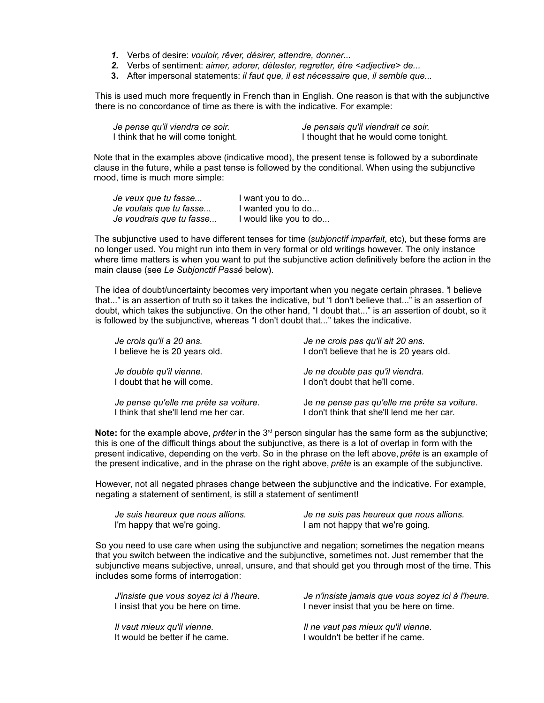- *1.* Verbs of desire: *vouloir, rêver, désirer, attendre, donner...*
- *2.* Verbs of sentiment: *aimer, adorer, détester, regretter, être <adjective> de...*
- **3.** After impersonal statements: *il faut que, il est nécessaire que, il semble que...*

This is used much more frequently in French than in English. One reason is that with the subjunctive there is no concordance of time as there is with the indicative. For example:

| Je pense qu'il viendra ce soir.    | Je pensais qu'il viendrait ce soir.   |
|------------------------------------|---------------------------------------|
| I think that he will come tonight. | I thought that he would come tonight. |

Note that in the examples above (indicative mood), the present tense is followed by a subordinate clause in the future, while a past tense is followed by the conditional. When using the subjunctive mood, time is much more simple:

| Je veux que tu fasse     | I want you to do       |
|--------------------------|------------------------|
| Je voulais que tu fasse  | I wanted you to do     |
| Je voudrais que tu fasse | I would like you to do |

The subjunctive used to have different tenses for time (*subjonctif imparfait*, etc), but these forms are no longer used. You might run into them in very formal or old writings however. The only instance where time matters is when you want to put the subjunctive action definitively before the action in the main clause (see *Le Subjonctif Passé* below).

The idea of doubt/uncertainty becomes very important when you negate certain phrases. "I believe that..." is an assertion of truth so it takes the indicative, but "I don't believe that..." is an assertion of doubt, which takes the subjunctive. On the other hand, "I doubt that..." is an assertion of doubt, so it is followed by the subjunctive, whereas "I don't doubt that..." takes the indicative.

| Je crois qu'il a 20 ans.              | Je ne crois pas qu'il ait 20 ans.            |
|---------------------------------------|----------------------------------------------|
| I believe he is 20 years old.         | I don't believe that he is 20 years old.     |
| Je doubte qu'il vienne.               | Je ne doubte pas qu'il viendra.              |
| I doubt that he will come.            | I don't doubt that he'll come.               |
| Je pense qu'elle me prête sa voiture. | Je ne pense pas qu'elle me prête sa voiture. |
| I think that she'll lend me her car.  | I don't think that she'll lend me her car.   |

**Note:** for the example above, *prêter* in the 3<sup>rd</sup> person singular has the same form as the subjunctive; this is one of the difficult things about the subjunctive, as there is a lot of overlap in form with the present indicative, depending on the verb. So in the phrase on the left above, *prête* is an example of the present indicative, and in the phrase on the right above, *prête* is an example of the subjunctive.

However, not all negated phrases change between the subjunctive and the indicative. For example, negating a statement of sentiment, is still a statement of sentiment!

| Je suis heureux que nous allions. | Je ne suis pas heureux que nous allions. |
|-----------------------------------|------------------------------------------|
| I'm happy that we're going.       | I am not happy that we're going.         |

So you need to use care when using the subjunctive and negation; sometimes the negation means that you switch between the indicative and the subjunctive, sometimes not. Just remember that the subjunctive means subjective, unreal, unsure, and that should get you through most of the time. This includes some forms of interrogation:

| J'insiste que vous soyez ici à l'heure. | Je n'insiste jamais que vous soyez ici à l'heure. |
|-----------------------------------------|---------------------------------------------------|
| I insist that you be here on time.      | I never insist that you be here on time.          |
| Il vaut mieux qu'il vienne.             | Il ne vaut pas mieux qu'il vienne.                |
| It would be better if he came.          | I wouldn't be better if he came.                  |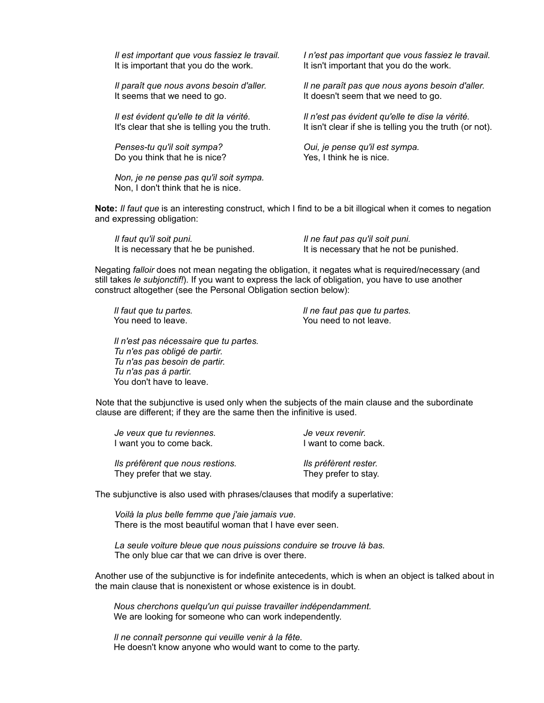It is important that you do the work. It isn't important that you do the work.

It seems that we need to go. It doesn't seem that we need to go.

*Penses-tu qu'il soit sympa? Oui, je pense qu'il est sympa.* Do you think that he is nice? Yes, I think he is nice.

*Non, je ne pense pas qu'il soit sympa.*  Non, I don't think that he is nice.

*Il est important que vous fassiez le travail. I n'est pas important que vous fassiez le travail.*

*Il paraît que nous avons besoin d'aller. Il ne paraît pas que nous ayons besoin d'aller.*

*Il est évident qu'elle te dit la vérité. Il n'est pas évident qu'elle te dise la vérité.* It's clear that she is telling you the truth. It isn't clear if she is telling you the truth (or not).

**Note:** *Il faut que* is an interesting construct, which I find to be a bit illogical when it comes to negation and expressing obligation:

| Il faut qu'il soit puni.             | Il ne faut pas qu'il soit puni.          |
|--------------------------------------|------------------------------------------|
| It is necessary that he be punished. | It is necessary that he not be punished. |

Negating *falloir* does not mean negating the obligation, it negates what is required/necessary (and still takes *le subjonctif!*). If you want to express the lack of obligation, you have to use another construct altogether (see the Personal Obligation section below):

*Il faut que tu partes. Il ne faut pas que tu partes.*  You need to leave. You need to not leave.

*Il n'est pas nécessaire que tu partes. Tu n'es pas obligé de partir. Tu n'as pas besoin de partir. Tu n'as pas á partir.* You don't have to leave.

Note that the subjunctive is used only when the subjects of the main clause and the subordinate clause are different; if they are the same then the infinitive is used.

| I want you to come back.         | I want to come back.  |  |
|----------------------------------|-----------------------|--|
| Ils préfèrent que nous restions. | Ils préfèrent rester. |  |
| They prefer that we stay.        | They prefer to stay.  |  |

*Je veux que tu reviennes. Je veux revenir.*

The subjunctive is also used with phrases/clauses that modify a superlative:

*Voilà la plus belle femme que j'aie jamais vue.* There is the most beautiful woman that I have ever seen.

*La seule voiture bleue que nous puissions conduire se trouve là bas.* The only blue car that we can drive is over there.

Another use of the subjunctive is for indefinite antecedents, which is when an object is talked about in the main clause that is nonexistent or whose existence is in doubt.

*Nous cherchons quelqu'un qui puisse travailler indépendamment.* We are looking for someone who can work independently.

*Il ne connaît personne qui veuille venir à la fête.* He doesn't know anyone who would want to come to the party.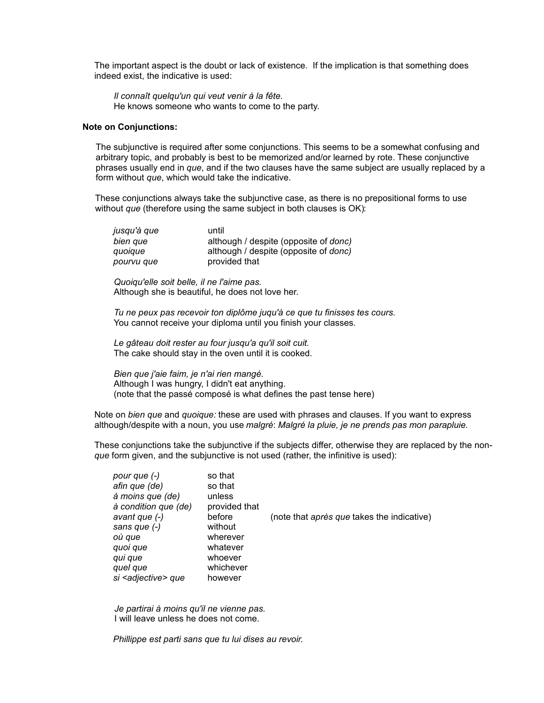The important aspect is the doubt or lack of existence. If the implication is that something does indeed exist, the indicative is used:

*Il connaît quelqu'un qui veut venir à la fête.* He knows someone who wants to come to the party.

### **Note on Conjunctions:**

The subjunctive is required after some conjunctions. This seems to be a somewhat confusing and arbitrary topic, and probably is best to be memorized and/or learned by rote. These conjunctive phrases usually end in *que*, and if the two clauses have the same subject are usually replaced by a form without *que*, which would take the indicative.

These conjunctions always take the subjunctive case, as there is no prepositional forms to use without *que* (therefore using the same subject in both clauses is OK):

| jusqu'à que | until                                         |
|-------------|-----------------------------------------------|
| bien que    | although / despite (opposite of <i>donc</i> ) |
| quoique     | although / despite (opposite of <i>donc</i> ) |
| pourvu que  | provided that                                 |

*Quoiqu'elle soit belle, il ne l'aime pas.* Although she is beautiful, he does not love her.

*Tu ne peux pas recevoir ton diplôme juqu'à ce que tu finisses tes cours.* You cannot receive your diploma until you finish your classes.

*Le gâteau doit rester au four jusqu'a qu'il soit cuit.* The cake should stay in the oven until it is cooked.

*Bien que j'aie faim, je n'ai rien mangé.* Although I was hungry, I didn't eat anything. (note that the passé composé is what defines the past tense here)

Note on *bien que* and *quoique:* these are used with phrases and clauses. If you want to express although/despite with a noun, you use *malgré*: *Malgré la pluie, je ne prends pas mon parapluie.*

These conjunctions take the subjunctive if the subjects differ, otherwise they are replaced by the non*que* form given, and the subjunctive is not used (rather, the infinitive is used):

| pour que (-)                   | so that       |                                            |
|--------------------------------|---------------|--------------------------------------------|
| afin que (de)                  | so that       |                                            |
| à moins que (de)               | unless        |                                            |
| à condition que (de)           | provided that |                                            |
| avant que (-)                  | before        | (note that après que takes the indicative) |
| sans que (-)                   | without       |                                            |
| où que                         | wherever      |                                            |
| quoi que                       | whatever      |                                            |
| qui que                        | whoever       |                                            |
| quel que                       | whichever     |                                            |
| si <adjective> que</adjective> | however       |                                            |

*Je partirai à moins qu'il ne vienne pas.* I will leave unless he does not come.

*Phillippe est parti sans que tu lui dises au revoir.*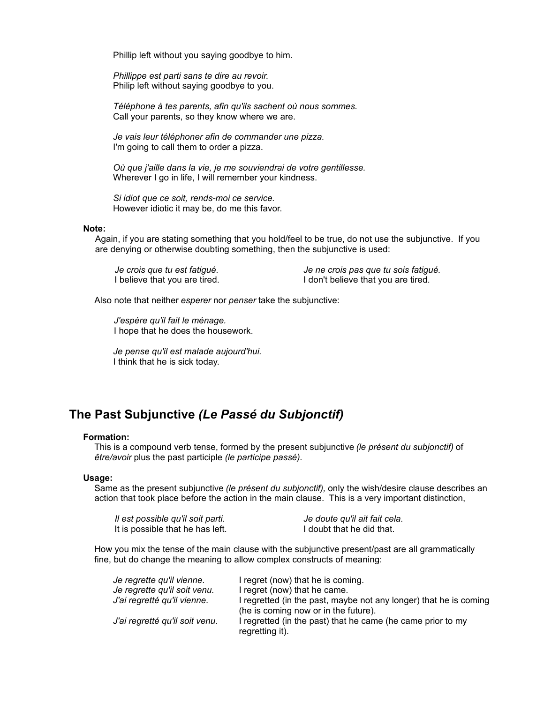Phillip left without you saying goodbye to him.

*Phillippe est parti sans te dire au revoir.* Philip left without saying goodbye to you.

*Téléphone à tes parents, afin qu'ils sachent où nous sommes.* Call your parents, so they know where we are.

*Je vais leur téléphoner afin de commander une pizza.* I'm going to call them to order a pizza.

*Où que j'aille dans la vie, je me souviendrai de votre gentillesse.* Wherever I go in life, I will remember your kindness.

*Si idiot que ce soit, rends-moi ce service.* However idiotic it may be, do me this favor.

### **Note:**

Again, if you are stating something that you hold/feel to be true, do not use the subjunctive. If you are denying or otherwise doubting something, then the subjunctive is used:

*Je crois que tu est fatigué. Je ne crois pas que tu sois fatigué.* I believe that you are tired. The lower of the lower that you are tired.

Also note that neither *esperer* nor *penser* take the subjunctive:

*J'espère qu'il fait le ménage.*  I hope that he does the housework.

*Je pense qu'il est malade aujourd'hui.* I think that he is sick today.

## **The Past Subjunctive** *(Le Passé du Subjonctif)*

## **Formation:**

This is a compound verb tense, formed by the present subjunctive *(le présent du subjonctif)* of *être/avoir* plus the past participle *(le participe passé).*

## **Usage:**

Same as the present subjunctive *(le présent du subjonctif),* only the wish/desire clause describes an action that took place before the action in the main clause. This is a very important distinction,

| Il est possible qu'il soit parti. | Je doute qu'il ait fait cela. |
|-----------------------------------|-------------------------------|
| It is possible that he has left.  | I doubt that he did that.     |

How you mix the tense of the main clause with the subjunctive present/past are all grammatically fine, but do change the meaning to allow complex constructs of meaning:

| Je regrette gu'il vienne.      | I regret (now) that he is coming.                                 |
|--------------------------------|-------------------------------------------------------------------|
| Je regrette qu'il soit venu.   | I regret (now) that he came.                                      |
| J'ai regretté qu'il vienne.    | I regretted (in the past, maybe not any longer) that he is coming |
|                                | (he is coming now or in the future).                              |
| J'ai regretté qu'il soit venu. | I regretted (in the past) that he came (he came prior to my       |
|                                | regretting it).                                                   |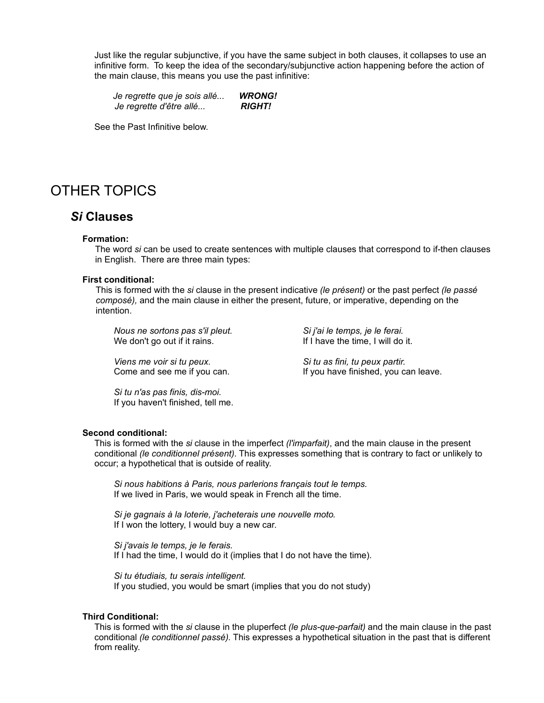Just like the regular subjunctive, if you have the same subject in both clauses, it collapses to use an infinitive form. To keep the idea of the secondary/subjunctive action happening before the action of the main clause, this means you use the past infinitive:

*Je regrette que je sois allé... WRONG! Je regrette d'être allé... RIGHT!*

See the Past Infinitive below.

# OTHER TOPICS

## *Si* **Clauses**

### **Formation:**

The word *si* can be used to create sentences with multiple clauses that correspond to if-then clauses in English. There are three main types:

### **First conditional:**

This is formed with the *si* clause in the present indicative *(le présent)* or the past perfect *(le passé composé),* and the main clause in either the present, future, or imperative, depending on the intention.

*Nous ne sortons pas s'il pleut. Si j'ai le temps, je le ferai.* We don't go out if it rains. If I have the time, I will do it.

*Viens me voir si tu peux. Si tu as fini, tu peux partir.*

Come and see me if you can. If you have finished, you can leave.

*Si tu n'as pas finis, dis-moi.* If you haven't finished, tell me.

## **Second conditional:**

This is formed with the *si* clause in the imperfect *(l'imparfait)*, and the main clause in the present conditional *(le conditionnel présent)*. This expresses something that is contrary to fact or unlikely to occur; a hypothetical that is outside of reality.

*Si nous habitions à Paris, nous parlerions français tout le temps.* If we lived in Paris, we would speak in French all the time.

*Si je gagnais à la loterie, j'acheterais une nouvelle moto*. If I won the lottery, I would buy a new car.

*Si j'avais le temps, je le ferais.* If I had the time, I would do it (implies that I do not have the time).

*Si tu étudiais, tu serais intelligent.* If you studied, you would be smart (implies that you do not study)

### **Third Conditional:**

This is formed with the *si* clause in the pluperfect *(le plus-que-parfait)* and the main clause in the past conditional *(le conditionnel passé)*. This expresses a hypothetical situation in the past that is different from reality.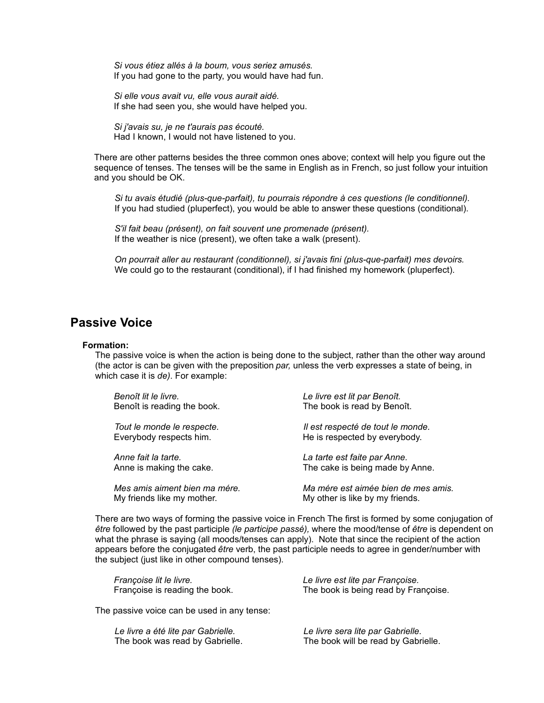*Si vous étiez allés à la boum, vous seriez amusés.* If you had gone to the party, you would have had fun.

*Si elle vous avait vu, elle vous aurait aidé.*  If she had seen you, she would have helped you.

*Si j'avais su, je ne t'aurais pas écouté.* Had I known, I would not have listened to you.

There are other patterns besides the three common ones above; context will help you figure out the sequence of tenses. The tenses will be the same in English as in French, so just follow your intuition and you should be OK.

*Si tu avais étudié (plus-que-parfait), tu pourrais répondre à ces questions (le conditionnel).* If you had studied (pluperfect), you would be able to answer these questions (conditional).

*S'il fait beau (présent), on fait souvent une promenade (présent).* If the weather is nice (present), we often take a walk (present).

*On pourrait aller au restaurant (conditionnel), si j'avais fini (plus-que-parfait) mes devoirs.* We could go to the restaurant (conditional), if I had finished my homework (pluperfect).

## **Passive Voice**

### **Formation:**

The passive voice is when the action is being done to the subject, rather than the other way around (the actor is can be given with the preposition *par,* unless the verb expresses a state of being, in which case it is *de)*. For example:

| Benoît lit le livre.          | Le livre est lit par Benoît.        |
|-------------------------------|-------------------------------------|
| Benoît is reading the book.   | The book is read by Benoît.         |
| Tout le monde le respecte.    | Il est respecté de tout le monde.   |
| Everybody respects him.       | He is respected by everybody.       |
| Anne fait la tarte.           | La tarte est faite par Anne.        |
| Anne is making the cake.      | The cake is being made by Anne.     |
| Mes amis aiment bien ma mére. | Ma mére est aimée bien de mes amis. |
| My friande like my mother     | My other is like by my friends      |

My friends like my mother. My other is like by my friends.

There are two ways of forming the passive voice in French The first is formed by some conjugation of *être* followed by the past participle *(le participe passé),* where the mood/tense of *être* is dependent on what the phrase is saying (all moods/tenses can apply). Note that since the recipient of the action appears before the conjugated *être* verb, the past participle needs to agree in gender/number with the subject (just like in other compound tenses).

| Françoise lit le livre.        | Le livre est lite par Françoise.     |
|--------------------------------|--------------------------------------|
| Françoise is reading the book. | The book is being read by Françoise. |

The passive voice can be used in any tense:

| Le livre a été lite par Gabrielle. | Le livre sera lite par Gabrielle.   |
|------------------------------------|-------------------------------------|
| The book was read by Gabrielle.    | The book will be read by Gabrielle. |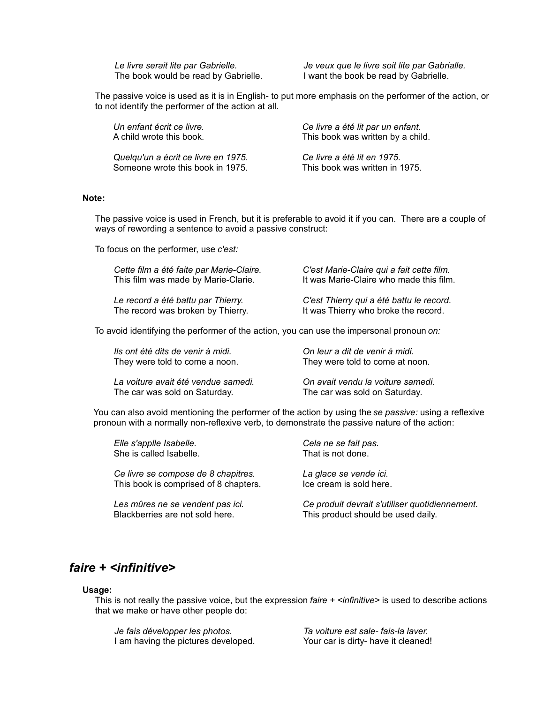*Le livre serait lite par Gabrielle. Je veux que le livre soit lite par Gabrialle.* The book would be read by Gabrielle. I want the book be read by Gabrielle.

The passive voice is used as it is in English- to put more emphasis on the performer of the action, or to not identify the performer of the action at all.

| Un enfant écrit ce livre.           | Ce livre a été lit par un enfant. |
|-------------------------------------|-----------------------------------|
| A child wrote this book.            | This book was written by a child. |
| Quelqu'un a écrit ce livre en 1975. | Ce livre a été lit en 1975.       |
| Someone wrote this book in 1975.    | This book was written in 1975.    |

## **Note:**

The passive voice is used in French, but it is preferable to avoid it if you can. There are a couple of ways of rewording a sentence to avoid a passive construct:

To focus on the performer, use *c'est:*

| Cette film a été faite par Marie-Claire. | C'est Marie-Claire qui a fait cette film. |
|------------------------------------------|-------------------------------------------|
| This film was made by Marie-Clarie.      | It was Marie-Claire who made this film.   |
| Le record a été battu par Thierry.       | C'est Thierry qui a été battu le record.  |
| The record was broken by Thierry.        | It was Thierry who broke the record.      |

To avoid identifying the performer of the action, you can use the impersonal pronoun *on:*

| Ils ont été dits de venir à midi.   | On leur a dit de venir à midi.    |
|-------------------------------------|-----------------------------------|
| They were told to come a noon.      | They were told to come at noon.   |
| La voiture avait été vendue samedi. | On avait vendu la voiture samedi. |
| The car was sold on Saturday.       | The car was sold on Saturday.     |

You can also avoid mentioning the performer of the action by using the *se passive:* using a reflexive pronoun with a normally non-reflexive verb, to demonstrate the passive nature of the action:

| Elle s'applle Isabelle.               | Cela ne se fait pas.                           |
|---------------------------------------|------------------------------------------------|
| She is called Isabelle.               | That is not done.                              |
| Ce livre se compose de 8 chapitres.   | La glace se vende ici.                         |
| This book is comprised of 8 chapters. | Ice cream is sold here.                        |
| Les mûres ne se vendent pas ici.      | Ce produit devrait s'utiliser quotidiennement. |
| Blackberries are not sold here.       | This product should be used daily.             |

# *faire + <infinitive>*

### **Usage:**

This is not really the passive voice, but the expression *faire + <infinitive>* is used to describe actions that we make or have other people do:

*Je fais développer les photos. Ta voiture est sale- fais-la laver.* I am having the pictures developed. Your car is dirty- have it cleaned!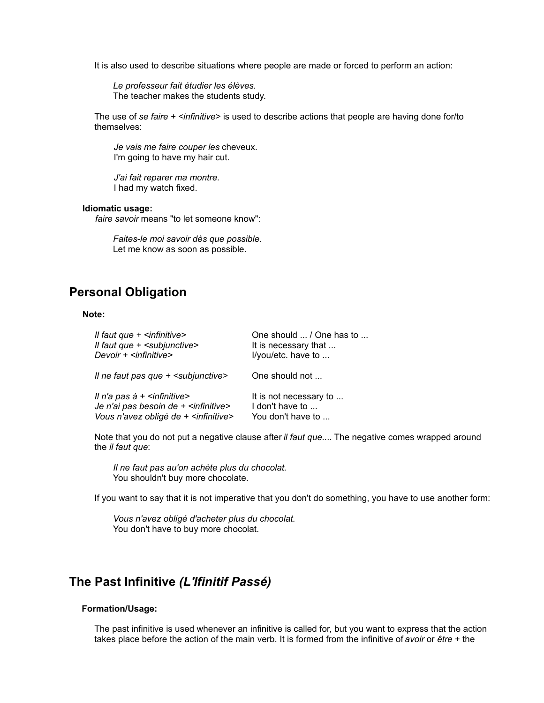It is also used to describe situations where people are made or forced to perform an action:

*Le professeur fait étudier les élèves.* The teacher makes the students study.

The use of *se faire + <infinitive>* is used to describe actions that people are having done for/to themselves:

*Je vais me faire couper les* cheveux. I'm going to have my hair cut.

*J'ai fait reparer ma montre.* I had my watch fixed.

### **Idiomatic usage:**

*faire savoir* means "to let someone know":

*Faites-le moi savoir dès que possible.* Let me know as soon as possible.

# **Personal Obligation**

## **Note:**

| Il faut que $+$ $\leq$ infinitive $>$             | One should  / One has to |
|---------------------------------------------------|--------------------------|
| Il faut que + <subjunctive></subjunctive>         | It is necessary that     |
| Devoir + <infinitive></infinitive>                | I/you/etc. have to       |
| Il ne faut pas que + < subjunctive >              | One should not           |
| Il n'a pas à $+$ $\leq$ infinitive $>$            | It is not necessary to   |
| Je n'ai pas besoin de + <infinitive></infinitive> | I don't have to          |
| Vous n'avez obligé de + <infinitive></infinitive> | You don't have to        |

Note that you do not put a negative clause after *il faut que...*. The negative comes wrapped around the *il faut que*:

*Il ne faut pas au'on achète plus du chocolat.* You shouldn't buy more chocolate.

If you want to say that it is not imperative that you don't do something, you have to use another form:

*Vous n'avez obligé d'acheter plus du chocolat.* You don't have to buy more chocolat.

# **The Past Infinitive** *(L'Ifinitif Passé)*

### **Formation/Usage:**

The past infinitive is used whenever an infinitive is called for, but you want to express that the action takes place before the action of the main verb. It is formed from the infinitive of *avoir* or *être* + the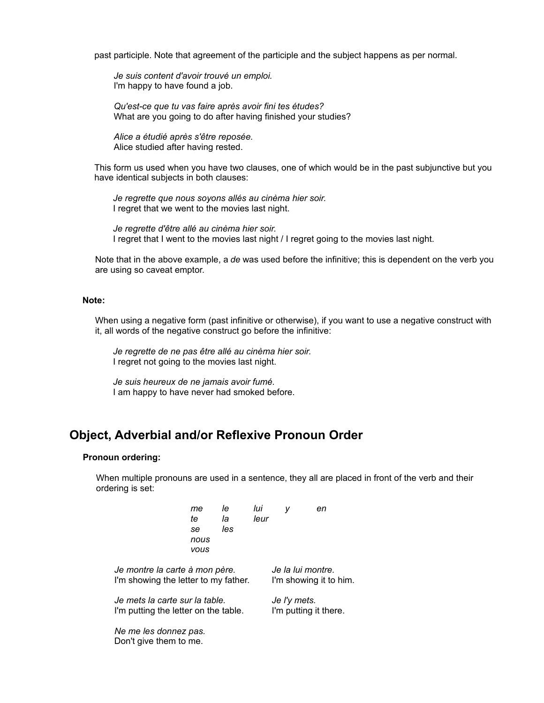past participle. Note that agreement of the participle and the subject happens as per normal.

*Je suis content d'avoir trouvé un emploi.* I'm happy to have found a job.

*Qu'est-ce que tu vas faire après avoir fini tes études?* What are you going to do after having finished your studies?

*Alice a étudié après s'être reposée.* Alice studied after having rested.

This form us used when you have two clauses, one of which would be in the past subjunctive but you have identical subjects in both clauses:

*Je regrette que nous soyons allés au cinèma hier soir.* I regret that we went to the movies last night.

*Je regrette d'être allé au cinèma hier soir.* I regret that I went to the movies last night / I regret going to the movies last night.

Note that in the above example, a *de* was used before the infinitive; this is dependent on the verb you are using so caveat emptor.

## **Note:**

When using a negative form (past infinitive or otherwise), if you want to use a negative construct with it, all words of the negative construct go before the infinitive:

*Je regrette de ne pas être allé au cinèma hier soir.* I regret not going to the movies last night.

*Je suis heureux de ne jamais avoir fumé.* I am happy to have never had smoked before.

## **Object, Adverbial and/or Reflexive Pronoun Order**

### **Pronoun ordering:**

When multiple pronouns are used in a sentence, they all are placed in front of the verb and their ordering is set:

|                                                 | me<br>te<br>se<br>nous<br>vous | le<br>la<br>les | lui<br>leur |                        | v | en |
|-------------------------------------------------|--------------------------------|-----------------|-------------|------------------------|---|----|
| Je montre la carte à mon père.                  |                                |                 |             | Je la lui montre.      |   |    |
| I'm showing the letter to my father.            |                                |                 |             | I'm showing it to him. |   |    |
| Je mets la carte sur la table.                  |                                |                 |             | Je I'y mets.           |   |    |
| I'm putting the letter on the table.            |                                |                 |             | I'm putting it there.  |   |    |
| Ne me les donnez pas.<br>Don't give them to me. |                                |                 |             |                        |   |    |